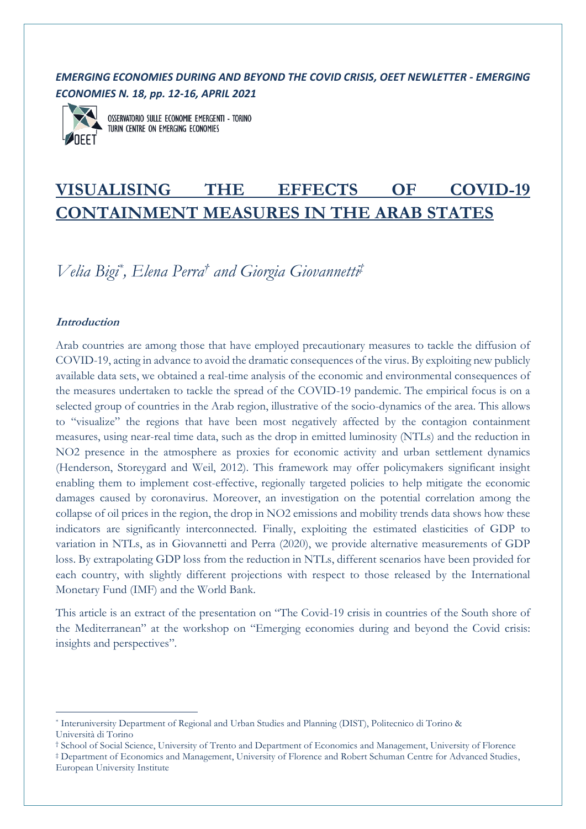# *EMERGING ECONOMIES DURING AND BEYOND THE COVID CRISIS, OEET NEWLETTER - EMERGING ECONOMIES N. 18, pp. 12-16, APRIL 2021*



OSSERVATORIO SULLE ECONOMIE EMERGENTI - TORINO TURIN CENTRE ON EMERGING ECONOMIES

# **VISUALISING THE EFFECTS OF COVID-19 CONTAINMENT MEASURES IN THE ARAB STATES**

*Velia Bigi\* , Elena Perra† and Giorgia Giovannetti ‡*

## **Introduction**

Arab countries are among those that have employed precautionary measures to tackle the diffusion of COVID-19, acting in advance to avoid the dramatic consequences of the virus. By exploiting new publicly available data sets, we obtained a real-time analysis of the economic and environmental consequences of the measures undertaken to tackle the spread of the COVID-19 pandemic. The empirical focus is on a selected group of countries in the Arab region, illustrative of the socio-dynamics of the area. This allows to "visualize" the regions that have been most negatively affected by the contagion containment measures, using near-real time data, such as the drop in emitted luminosity (NTLs) and the reduction in NO2 presence in the atmosphere as proxies for economic activity and urban settlement dynamics (Henderson, Storeygard and Weil, 2012). This framework may offer policymakers significant insight enabling them to implement cost-effective, regionally targeted policies to help mitigate the economic damages caused by coronavirus. Moreover, an investigation on the potential correlation among the collapse of oil prices in the region, the drop in NO2 emissions and mobility trends data shows how these indicators are significantly interconnected. Finally, exploiting the estimated elasticities of GDP to variation in NTLs, as in Giovannetti and Perra (2020), we provide alternative measurements of GDP loss. By extrapolating GDP loss from the reduction in NTLs, different scenarios have been provided for each country, with slightly different projections with respect to those released by the International Monetary Fund (IMF) and the World Bank.

This article is an extract of the presentation on "The Covid-19 crisis in countries of the South shore of the Mediterranean" at the workshop on "Emerging economies during and beyond the Covid crisis: insights and perspectives".

<sup>\*</sup> Interuniversity Department of Regional and Urban Studies and Planning (DIST), Politecnico di Torino & Università di Torino

<sup>†</sup> School of Social Science, University of Trento and Department of Economics and Management, University of Florence

<sup>‡</sup> Department of Economics and Management, University of Florence and Robert Schuman Centre for Advanced Studies, European University Institute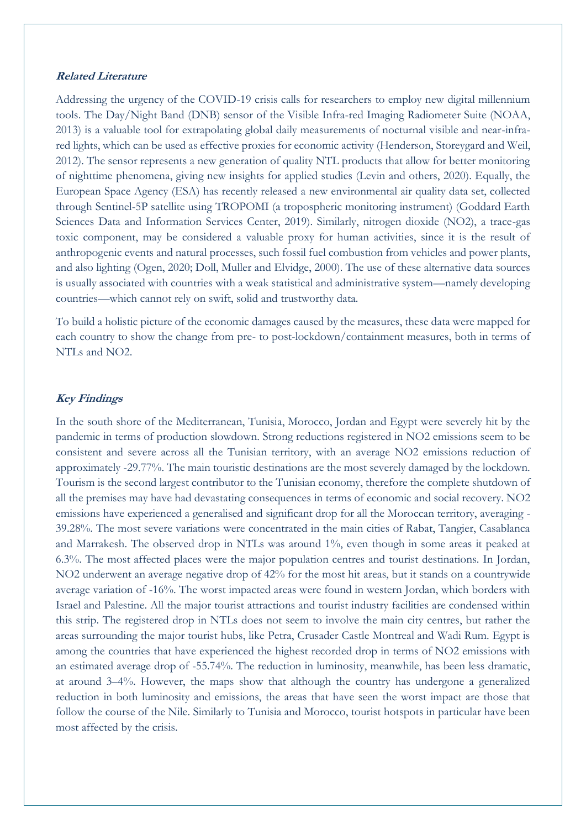#### **Related Literature**

Addressing the urgency of the COVID-19 crisis calls for researchers to employ new digital millennium tools. The Day/Night Band (DNB) sensor of the Visible Infra-red Imaging Radiometer Suite (NOAA, 2013) is a valuable tool for extrapolating global daily measurements of nocturnal visible and near-infrared lights, which can be used as effective proxies for economic activity (Henderson, Storeygard and Weil, 2012). The sensor represents a new generation of quality NTL products that allow for better monitoring of nighttime phenomena, giving new insights for applied studies (Levin and others, 2020). Equally, the European Space Agency (ESA) has recently released a new environmental air quality data set, collected through Sentinel-5P satellite using TROPOMI (a tropospheric monitoring instrument) (Goddard Earth Sciences Data and Information Services Center, 2019). Similarly, nitrogen dioxide (NO2), a trace-gas toxic component, may be considered a valuable proxy for human activities, since it is the result of anthropogenic events and natural processes, such fossil fuel combustion from vehicles and power plants, and also lighting (Ogen, 2020; Doll, Muller and Elvidge, 2000). The use of these alternative data sources is usually associated with countries with a weak statistical and administrative system—namely developing countries—which cannot rely on swift, solid and trustworthy data.

To build a holistic picture of the economic damages caused by the measures, these data were mapped for each country to show the change from pre- to post-lockdown/containment measures, both in terms of NTLs and NO2.

#### **Key Findings**

In the south shore of the Mediterranean, Tunisia, Morocco, Jordan and Egypt were severely hit by the pandemic in terms of production slowdown. Strong reductions registered in NO2 emissions seem to be consistent and severe across all the Tunisian territory, with an average NO2 emissions reduction of approximately -29.77%. The main touristic destinations are the most severely damaged by the lockdown. Tourism is the second largest contributor to the Tunisian economy, therefore the complete shutdown of all the premises may have had devastating consequences in terms of economic and social recovery. NO2 emissions have experienced a generalised and significant drop for all the Moroccan territory, averaging - 39.28%. The most severe variations were concentrated in the main cities of Rabat, Tangier, Casablanca and Marrakesh. The observed drop in NTLs was around 1%, even though in some areas it peaked at 6.3%. The most affected places were the major population centres and tourist destinations. In Jordan, NO2 underwent an average negative drop of 42% for the most hit areas, but it stands on a countrywide average variation of -16%. The worst impacted areas were found in western Jordan, which borders with Israel and Palestine. All the major tourist attractions and tourist industry facilities are condensed within this strip. The registered drop in NTLs does not seem to involve the main city centres, but rather the areas surrounding the major tourist hubs, like Petra, Crusader Castle Montreal and Wadi Rum. Egypt is among the countries that have experienced the highest recorded drop in terms of NO2 emissions with an estimated average drop of -55.74%. The reduction in luminosity, meanwhile, has been less dramatic, at around 3–4%. However, the maps show that although the country has undergone a generalized reduction in both luminosity and emissions, the areas that have seen the worst impact are those that follow the course of the Nile. Similarly to Tunisia and Morocco, tourist hotspots in particular have been most affected by the crisis.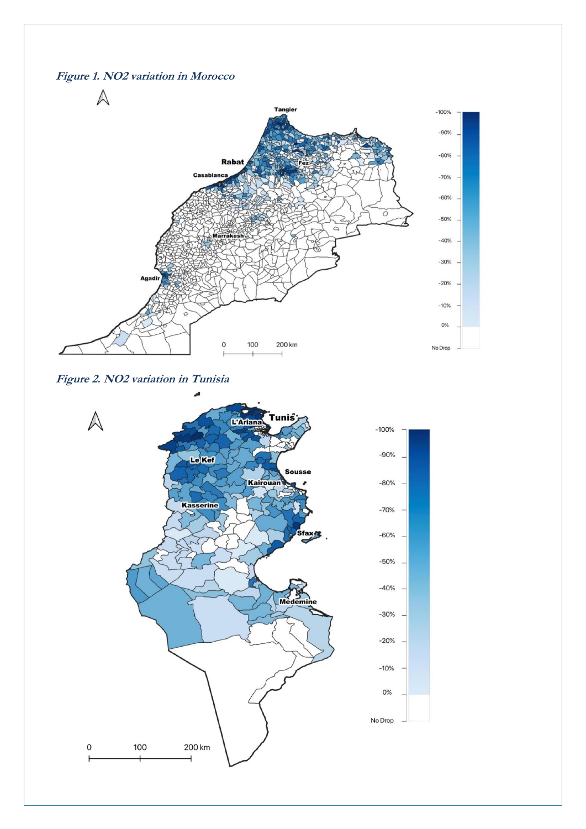





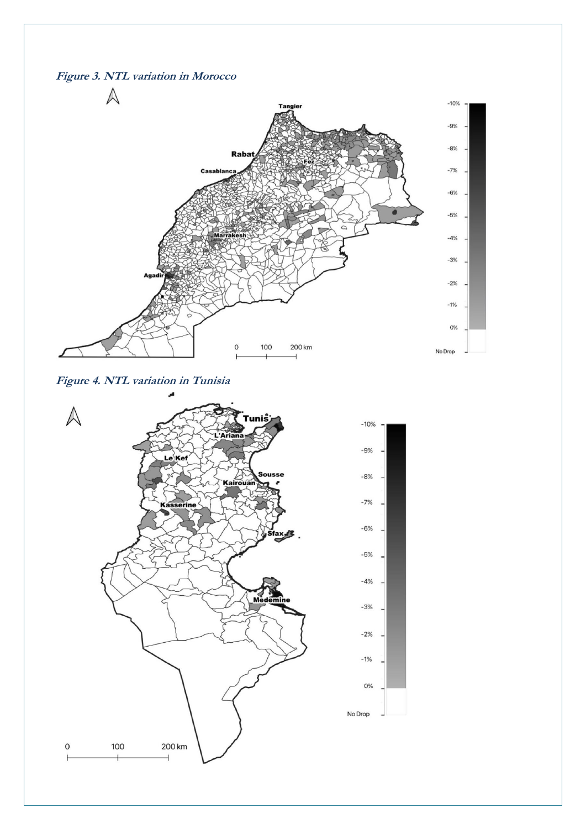